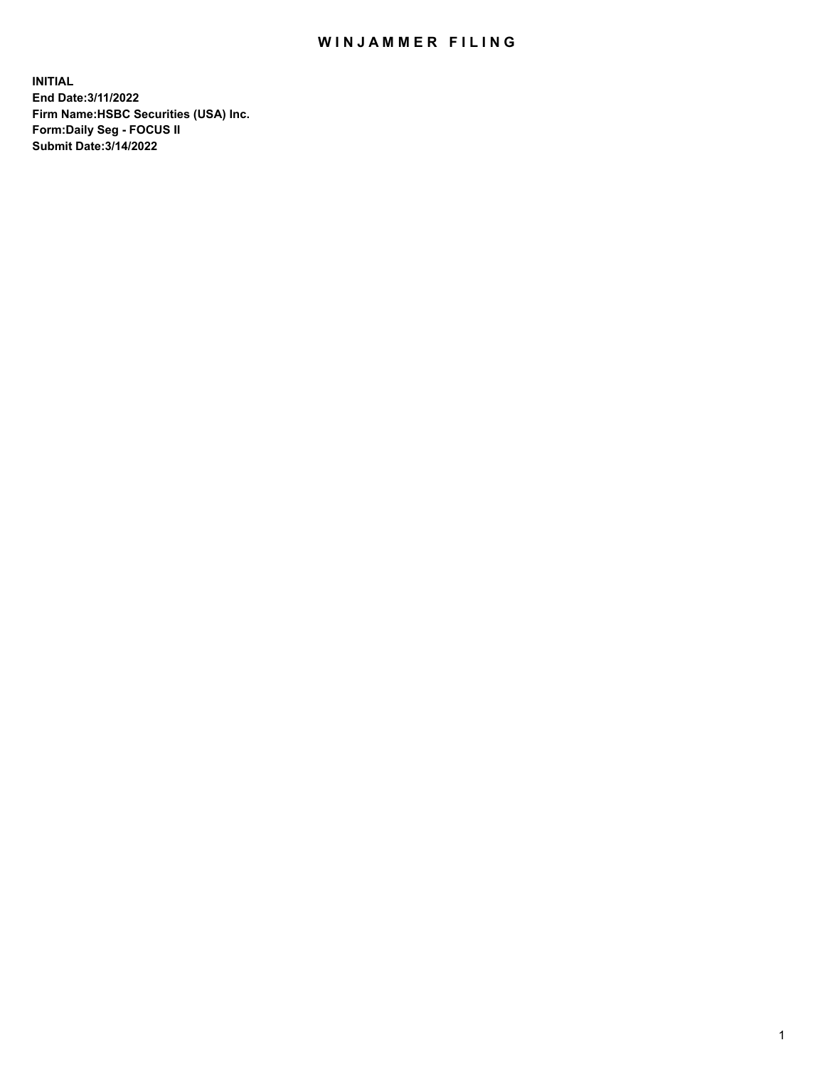## WIN JAMMER FILING

**INITIAL End Date:3/11/2022 Firm Name:HSBC Securities (USA) Inc. Form:Daily Seg - FOCUS II Submit Date:3/14/2022**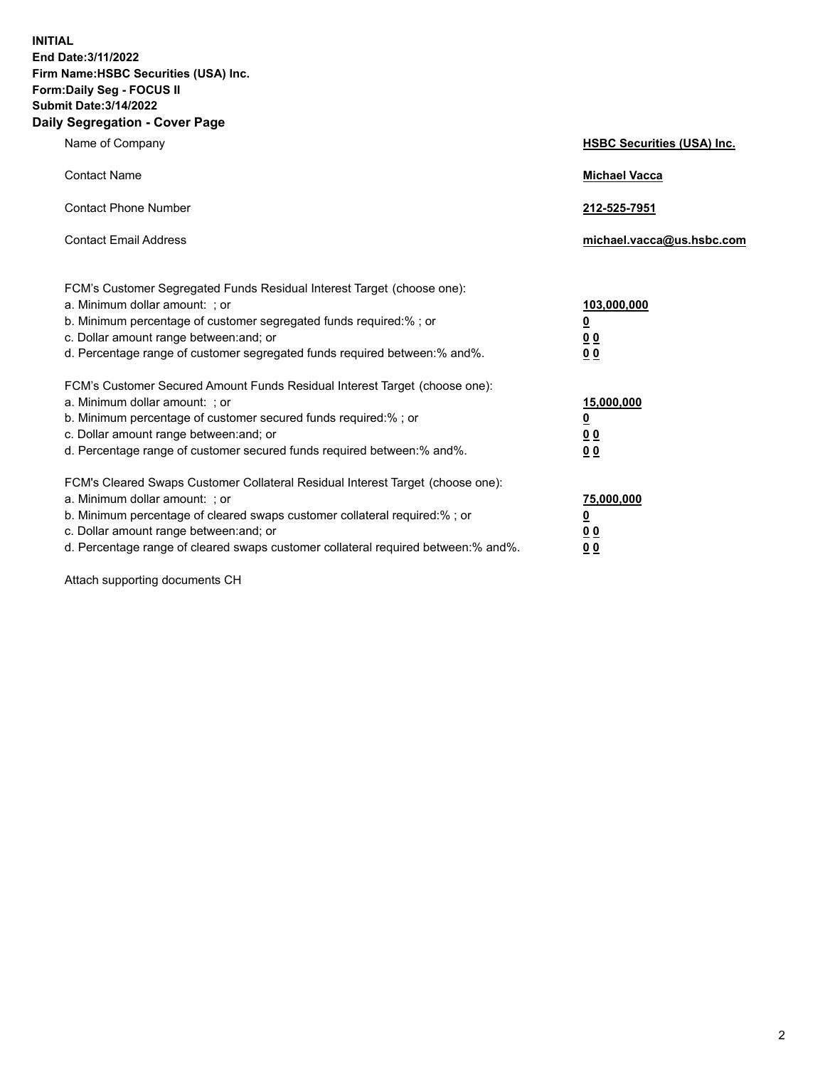**INITIAL End Date:3/11/2022 Firm Name:HSBC Securities (USA) Inc. Form:Daily Seg - FOCUS II Submit Date:3/14/2022 Daily Segregation - Cover Page**

| Name of Company                                                                                                                                                                                                                                                                                                               | <b>HSBC Securities (USA) Inc.</b>                           |
|-------------------------------------------------------------------------------------------------------------------------------------------------------------------------------------------------------------------------------------------------------------------------------------------------------------------------------|-------------------------------------------------------------|
| <b>Contact Name</b>                                                                                                                                                                                                                                                                                                           | <b>Michael Vacca</b>                                        |
| <b>Contact Phone Number</b>                                                                                                                                                                                                                                                                                                   | 212-525-7951                                                |
| <b>Contact Email Address</b>                                                                                                                                                                                                                                                                                                  | michael.vacca@us.hsbc.com                                   |
| FCM's Customer Segregated Funds Residual Interest Target (choose one):<br>a. Minimum dollar amount: ; or<br>b. Minimum percentage of customer segregated funds required:% ; or<br>c. Dollar amount range between: and; or<br>d. Percentage range of customer segregated funds required between:% and%.                        | 103,000,000<br><u>0</u><br>0 <sub>0</sub><br>0 <sub>0</sub> |
| FCM's Customer Secured Amount Funds Residual Interest Target (choose one):<br>a. Minimum dollar amount: ; or<br>b. Minimum percentage of customer secured funds required:%; or<br>c. Dollar amount range between: and; or<br>d. Percentage range of customer secured funds required between: % and %.                         | 15,000,000<br><u>0</u><br>0 <sub>0</sub><br>0 <sub>0</sub>  |
| FCM's Cleared Swaps Customer Collateral Residual Interest Target (choose one):<br>a. Minimum dollar amount: : or<br>b. Minimum percentage of cleared swaps customer collateral required:%; or<br>c. Dollar amount range between: and; or<br>d. Percentage range of cleared swaps customer collateral required between:% and%. | 75,000,000<br><u>0</u><br>00<br>00                          |

Attach supporting documents CH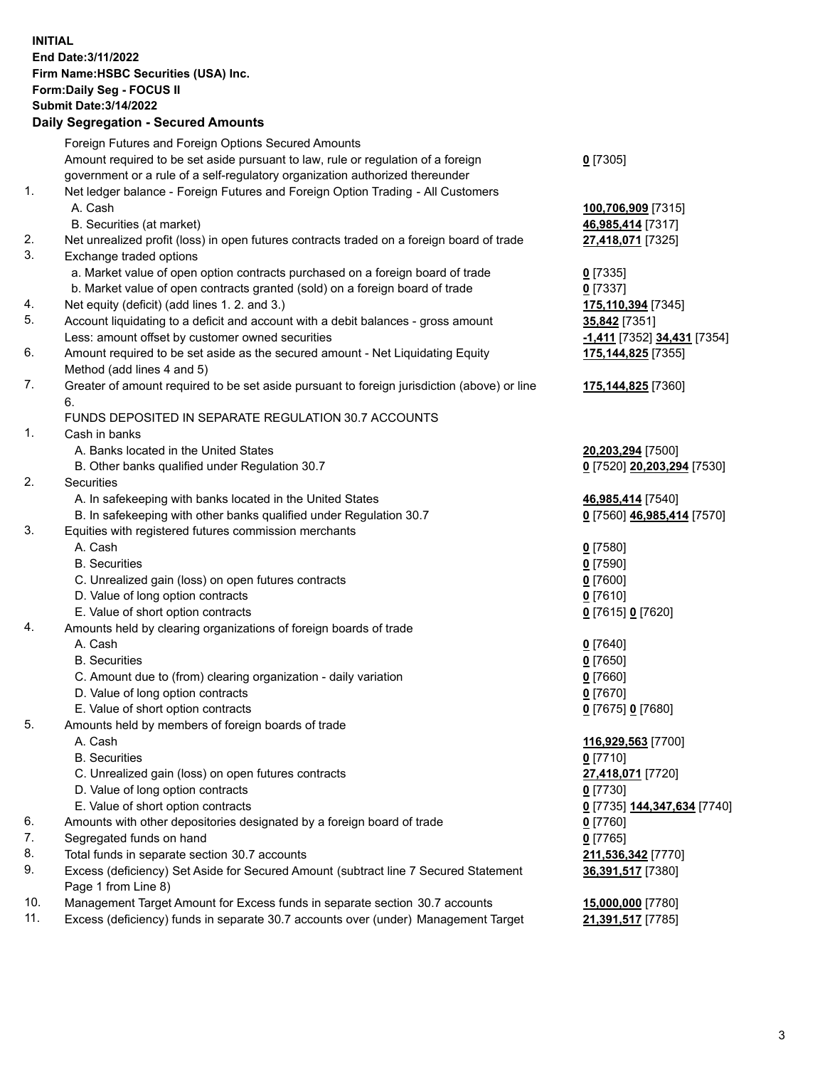**INITIAL End Date:3/11/2022 Firm Name:HSBC Securities (USA) Inc. Form:Daily Seg - FOCUS II Submit Date:3/14/2022**

## **Daily Segregation - Secured Amounts**

|     | Foreign Futures and Foreign Options Secured Amounts                                         |                                           |
|-----|---------------------------------------------------------------------------------------------|-------------------------------------------|
|     | Amount required to be set aside pursuant to law, rule or regulation of a foreign            | $0$ [7305]                                |
|     | government or a rule of a self-regulatory organization authorized thereunder                |                                           |
| 1.  | Net ledger balance - Foreign Futures and Foreign Option Trading - All Customers             |                                           |
|     | A. Cash                                                                                     | 100,706,909 [7315]                        |
|     | B. Securities (at market)                                                                   | 46,985,414 [7317]                         |
| 2.  | Net unrealized profit (loss) in open futures contracts traded on a foreign board of trade   | 27,418,071 [7325]                         |
| 3.  | Exchange traded options                                                                     |                                           |
|     | a. Market value of open option contracts purchased on a foreign board of trade              | $0$ [7335]                                |
|     | b. Market value of open contracts granted (sold) on a foreign board of trade                | $0$ [7337]                                |
| 4.  | Net equity (deficit) (add lines 1. 2. and 3.)                                               | 175,110,394 [7345]                        |
| 5.  | Account liquidating to a deficit and account with a debit balances - gross amount           | 35,842 [7351]                             |
|     | Less: amount offset by customer owned securities                                            | -1,411 [7352] 34,431 [7354]               |
| 6.  | Amount required to be set aside as the secured amount - Net Liquidating Equity              | 175,144,825 [7355]                        |
|     | Method (add lines 4 and 5)                                                                  |                                           |
| 7.  | Greater of amount required to be set aside pursuant to foreign jurisdiction (above) or line | 175,144,825 [7360]                        |
|     | 6.                                                                                          |                                           |
|     | FUNDS DEPOSITED IN SEPARATE REGULATION 30.7 ACCOUNTS                                        |                                           |
| 1.  | Cash in banks                                                                               |                                           |
|     | A. Banks located in the United States                                                       | 20,203,294 [7500]                         |
|     | B. Other banks qualified under Regulation 30.7                                              | 0 [7520] 20,203,294 [7530]                |
| 2.  | Securities                                                                                  |                                           |
|     | A. In safekeeping with banks located in the United States                                   | 46,985,414 [7540]                         |
|     | B. In safekeeping with other banks qualified under Regulation 30.7                          | 0 [7560] 46,985,414 [7570]                |
| 3.  | Equities with registered futures commission merchants                                       |                                           |
|     | A. Cash                                                                                     | $0$ [7580]                                |
|     | <b>B.</b> Securities                                                                        | $0$ [7590]                                |
|     | C. Unrealized gain (loss) on open futures contracts                                         | $0$ [7600]                                |
|     | D. Value of long option contracts                                                           | $0$ [7610]                                |
|     | E. Value of short option contracts                                                          |                                           |
| 4.  | Amounts held by clearing organizations of foreign boards of trade                           | 0 [7615] 0 [7620]                         |
|     | A. Cash                                                                                     |                                           |
|     | <b>B.</b> Securities                                                                        | $0$ [7640]<br>$0$ [7650]                  |
|     | C. Amount due to (from) clearing organization - daily variation                             | $0$ [7660]                                |
|     | D. Value of long option contracts                                                           | $0$ [7670]                                |
|     | E. Value of short option contracts                                                          |                                           |
| 5.  | Amounts held by members of foreign boards of trade                                          | 0 [7675] 0 [7680]                         |
|     |                                                                                             |                                           |
|     | A. Cash                                                                                     | 116,929,563 [7700]                        |
|     | <b>B.</b> Securities                                                                        | $0$ [7710]                                |
|     | C. Unrealized gain (loss) on open futures contracts                                         | 27,418,071 [7720]                         |
|     | D. Value of long option contracts                                                           | $0$ [7730]                                |
|     | E. Value of short option contracts                                                          | <u>0</u> [7735] <u>144,347,634</u> [7740] |
| 6.  | Amounts with other depositories designated by a foreign board of trade                      | 0 [7760]                                  |
| 7.  | Segregated funds on hand                                                                    | $0$ [7765]                                |
| 8.  | Total funds in separate section 30.7 accounts                                               | 211,536,342 [7770]                        |
| 9.  | Excess (deficiency) Set Aside for Secured Amount (subtract line 7 Secured Statement         | 36,391,517 [7380]                         |
|     | Page 1 from Line 8)                                                                         |                                           |
| 10. | Management Target Amount for Excess funds in separate section 30.7 accounts                 | 15,000,000 [7780]                         |
| 11. | Excess (deficiency) funds in separate 30.7 accounts over (under) Management Target          | 21,391,517 [7785]                         |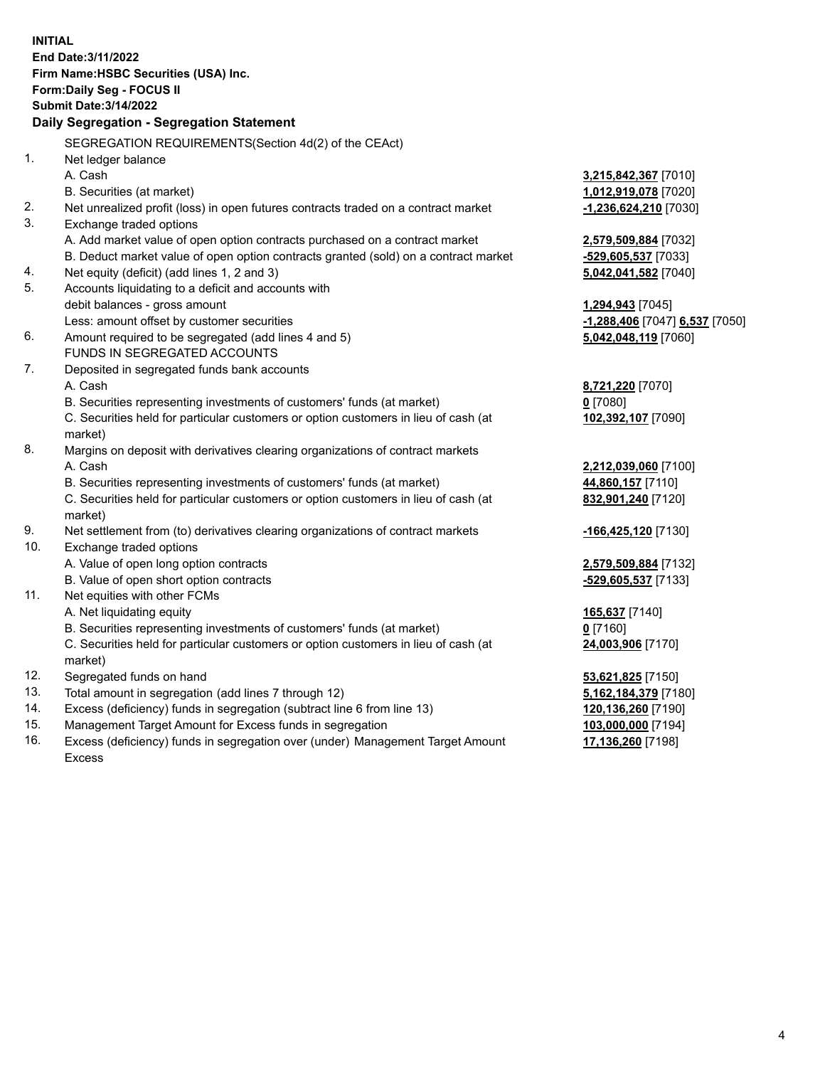**INITIAL End Date:3/11/2022 Firm Name:HSBC Securities (USA) Inc. Form:Daily Seg - FOCUS II Submit Date:3/14/2022 Daily Segregation - Segregation Statement** SEGREGATION REQUIREMENTS(Section 4d(2) of the CEAct) 1. Net ledger balance A. Cash **3,215,842,367** [7010] B. Securities (at market) **1,012,919,078** [7020] 2. Net unrealized profit (loss) in open futures contracts traded on a contract market **-1,236,624,210** [7030] 3. Exchange traded options A. Add market value of open option contracts purchased on a contract market **2,579,509,884** [7032] B. Deduct market value of open option contracts granted (sold) on a contract market **-529,605,537** [7033] 4. Net equity (deficit) (add lines 1, 2 and 3) **5,042,041,582** [7040] 5. Accounts liquidating to a deficit and accounts with debit balances - gross amount **1,294,943** [7045] Less: amount offset by customer securities **and the securities -1,288,406** [7047] **6,537** [7050] 6. Amount required to be segregated (add lines 4 and 5) **5,042,048,119** [7060] FUNDS IN SEGREGATED ACCOUNTS 7. Deposited in segregated funds bank accounts A. Cash **8,721,220** [7070] B. Securities representing investments of customers' funds (at market) **0** [7080] C. Securities held for particular customers or option customers in lieu of cash (at market) **102,392,107** [7090] 8. Margins on deposit with derivatives clearing organizations of contract markets A. Cash **2,212,039,060** [7100] B. Securities representing investments of customers' funds (at market) **44,860,157** [7110] C. Securities held for particular customers or option customers in lieu of cash (at market) **832,901,240** [7120] 9. Net settlement from (to) derivatives clearing organizations of contract markets **-166,425,120** [7130] 10. Exchange traded options A. Value of open long option contracts **2,579,509,884** [7132] B. Value of open short option contracts **-529,605,537** [7133] 11. Net equities with other FCMs A. Net liquidating equity **165,637** [7140] B. Securities representing investments of customers' funds (at market) **0** [7160] C. Securities held for particular customers or option customers in lieu of cash (at market) **24,003,906** [7170] 12. Segregated funds on hand **53,621,825** [7150] 13. Total amount in segregation (add lines 7 through 12) **5,162,184,379** [7180] 14. Excess (deficiency) funds in segregation (subtract line 6 from line 13) **120,136,260** [7190] 15. Management Target Amount for Excess funds in segregation **103,000,000** [7194] 16. Excess (deficiency) funds in segregation over (under) Management Target Amount **17,136,260** [7198]

Excess